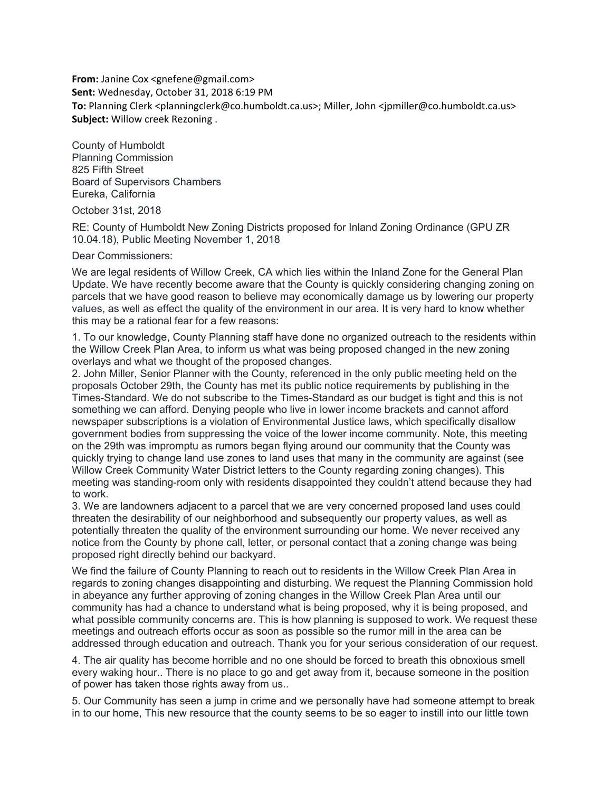**From:** Janine Cox <gnefene@gmail.com> **Sent:** Wednesday, October 31, 2018 6:19 PM **To:** Planning Clerk <planningclerk@co.humboldt.ca.us>; Miller, John <jpmiller@co.humboldt.ca.us> **Subject:** Willow creek Rezoning .

County of Humboldt Planning Commission 825 Fifth Street Board of Supervisors Chambers Eureka, California

October 31st, 2018

RE: County of Humboldt New Zoning Districts proposed for Inland Zoning Ordinance (GPU ZR 10.04.18), Public Meeting November 1, 2018

Dear Commissioners:

We are legal residents of Willow Creek, CA which lies within the Inland Zone for the General Plan Update. We have recently become aware that the County is quickly considering changing zoning on parcels that we have good reason to believe may economically damage us by lowering our property values, as well as effect the quality of the environment in our area. It is very hard to know whether this may be a rational fear for a few reasons:

1. To our knowledge, County Planning staff have done no organized outreach to the residents within the Willow Creek Plan Area, to inform us what was being proposed changed in the new zoning overlays and what we thought of the proposed changes.

2. John Miller, Senior Planner with the County, referenced in the only public meeting held on the proposals October 29th, the County has met its public notice requirements by publishing in the Times-Standard. We do not subscribe to the Times-Standard as our budget is tight and this is not something we can afford. Denying people who live in lower income brackets and cannot afford newspaper subscriptions is a violation of Environmental Justice laws, which specifically disallow government bodies from suppressing the voice of the lower income community. Note, this meeting on the 29th was impromptu as rumors began flying around our community that the County was quickly trying to change land use zones to land uses that many in the community are against (see Willow Creek Community Water District letters to the County regarding zoning changes). This meeting was standing-room only with residents disappointed they couldn't attend because they had to work.

3. We are landowners adjacent to a parcel that we are very concerned proposed land uses could threaten the desirability of our neighborhood and subsequently our property values, as well as potentially threaten the quality of the environment surrounding our home. We never received any notice from the County by phone call, letter, or personal contact that a zoning change was being proposed right directly behind our backyard.

We find the failure of County Planning to reach out to residents in the Willow Creek Plan Area in regards to zoning changes disappointing and disturbing. We request the Planning Commission hold in abeyance any further approving of zoning changes in the Willow Creek Plan Area until our community has had a chance to understand what is being proposed, why it is being proposed, and what possible community concerns are. This is how planning is supposed to work. We request these meetings and outreach efforts occur as soon as possible so the rumor mill in the area can be addressed through education and outreach. Thank you for your serious consideration of our request.

4. The air quality has become horrible and no one should be forced to breath this obnoxious smell every waking hour.. There is no place to go and get away from it, because someone in the position of power has taken those rights away from us..

5. Our Community has seen a jump in crime and we personally have had someone attempt to break in to our home, This new resource that the county seems to be so eager to instill into our little town